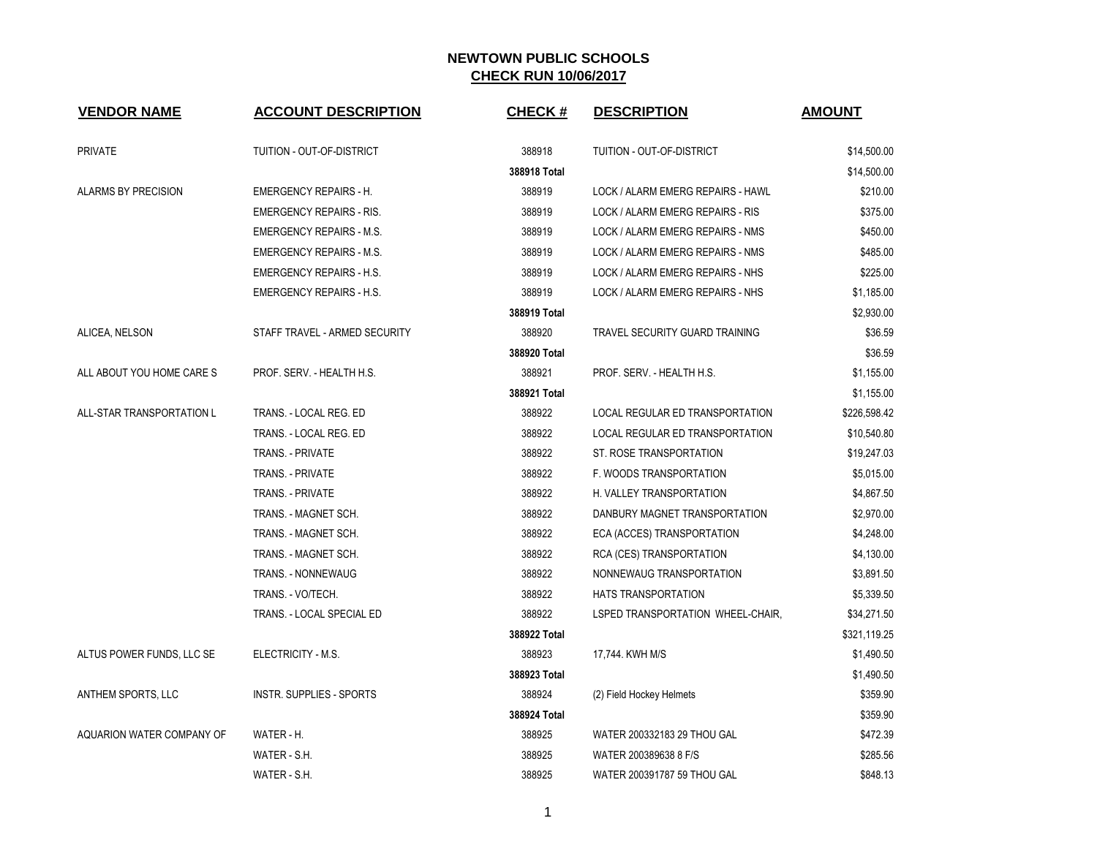| <b>VENDOR NAME</b>         | <b>ACCOUNT DESCRIPTION</b>      | <b>CHECK#</b> | <b>DESCRIPTION</b>                | <b>AMOUNT</b> |
|----------------------------|---------------------------------|---------------|-----------------------------------|---------------|
| <b>PRIVATE</b>             | TUITION - OUT-OF-DISTRICT       | 388918        | TUITION - OUT-OF-DISTRICT         | \$14,500.00   |
|                            |                                 | 388918 Total  |                                   | \$14,500.00   |
| <b>ALARMS BY PRECISION</b> | <b>EMERGENCY REPAIRS - H.</b>   | 388919        | LOCK / ALARM EMERG REPAIRS - HAWL | \$210.00      |
|                            | <b>EMERGENCY REPAIRS - RIS.</b> | 388919        | LOCK / ALARM EMERG REPAIRS - RIS  | \$375.00      |
|                            | <b>EMERGENCY REPAIRS - M.S.</b> | 388919        | LOCK / ALARM EMERG REPAIRS - NMS  | \$450.00      |
|                            | <b>EMERGENCY REPAIRS - M.S.</b> | 388919        | LOCK / ALARM EMERG REPAIRS - NMS  | \$485.00      |
|                            | <b>EMERGENCY REPAIRS - H.S.</b> | 388919        | LOCK / ALARM EMERG REPAIRS - NHS  | \$225.00      |
|                            | <b>EMERGENCY REPAIRS - H.S.</b> | 388919        | LOCK / ALARM EMERG REPAIRS - NHS  | \$1,185.00    |
|                            |                                 | 388919 Total  |                                   | \$2,930.00    |
| ALICEA, NELSON             | STAFF TRAVEL - ARMED SECURITY   | 388920        | TRAVEL SECURITY GUARD TRAINING    | \$36.59       |
|                            |                                 | 388920 Total  |                                   | \$36.59       |
| ALL ABOUT YOU HOME CARE S  | PROF. SERV. - HEALTH H.S.       | 388921        | PROF. SERV. - HEALTH H.S.         | \$1,155.00    |
|                            |                                 | 388921 Total  |                                   | \$1,155.00    |
| ALL-STAR TRANSPORTATION L  | TRANS. - LOCAL REG. ED          | 388922        | LOCAL REGULAR ED TRANSPORTATION   | \$226,598.42  |
|                            | TRANS. - LOCAL REG. ED          | 388922        | LOCAL REGULAR ED TRANSPORTATION   | \$10,540.80   |
|                            | TRANS. - PRIVATE                | 388922        | ST. ROSE TRANSPORTATION           | \$19,247.03   |
|                            | <b>TRANS. - PRIVATE</b>         | 388922        | F. WOODS TRANSPORTATION           | \$5,015.00    |
|                            | <b>TRANS. - PRIVATE</b>         | 388922        | H. VALLEY TRANSPORTATION          | \$4,867.50    |
|                            | TRANS. - MAGNET SCH.            | 388922        | DANBURY MAGNET TRANSPORTATION     | \$2,970.00    |
|                            | TRANS. - MAGNET SCH.            | 388922        | ECA (ACCES) TRANSPORTATION        | \$4,248.00    |
|                            | TRANS. - MAGNET SCH.            | 388922        | RCA (CES) TRANSPORTATION          | \$4,130.00    |
|                            | <b>TRANS. - NONNEWAUG</b>       | 388922        | NONNEWAUG TRANSPORTATION          | \$3,891.50    |
|                            | TRANS. - VO/TECH.               | 388922        | <b>HATS TRANSPORTATION</b>        | \$5,339.50    |
|                            | TRANS. - LOCAL SPECIAL ED       | 388922        | LSPED TRANSPORTATION WHEEL-CHAIR, | \$34,271.50   |
|                            |                                 | 388922 Total  |                                   | \$321,119.25  |
| ALTUS POWER FUNDS, LLC SE  | ELECTRICITY - M.S.              | 388923        | 17,744. KWH M/S                   | \$1,490.50    |
|                            |                                 | 388923 Total  |                                   | \$1,490.50    |
| ANTHEM SPORTS, LLC         | INSTR. SUPPLIES - SPORTS        | 388924        | (2) Field Hockey Helmets          | \$359.90      |
|                            |                                 | 388924 Total  |                                   | \$359.90      |
| AQUARION WATER COMPANY OF  | WATER - H.                      | 388925        | WATER 200332183 29 THOU GAL       | \$472.39      |
|                            | WATER - S.H.                    | 388925        | WATER 200389638 8 F/S             | \$285.56      |
|                            | WATER - S.H.                    | 388925        | WATER 200391787 59 THOU GAL       | \$848.13      |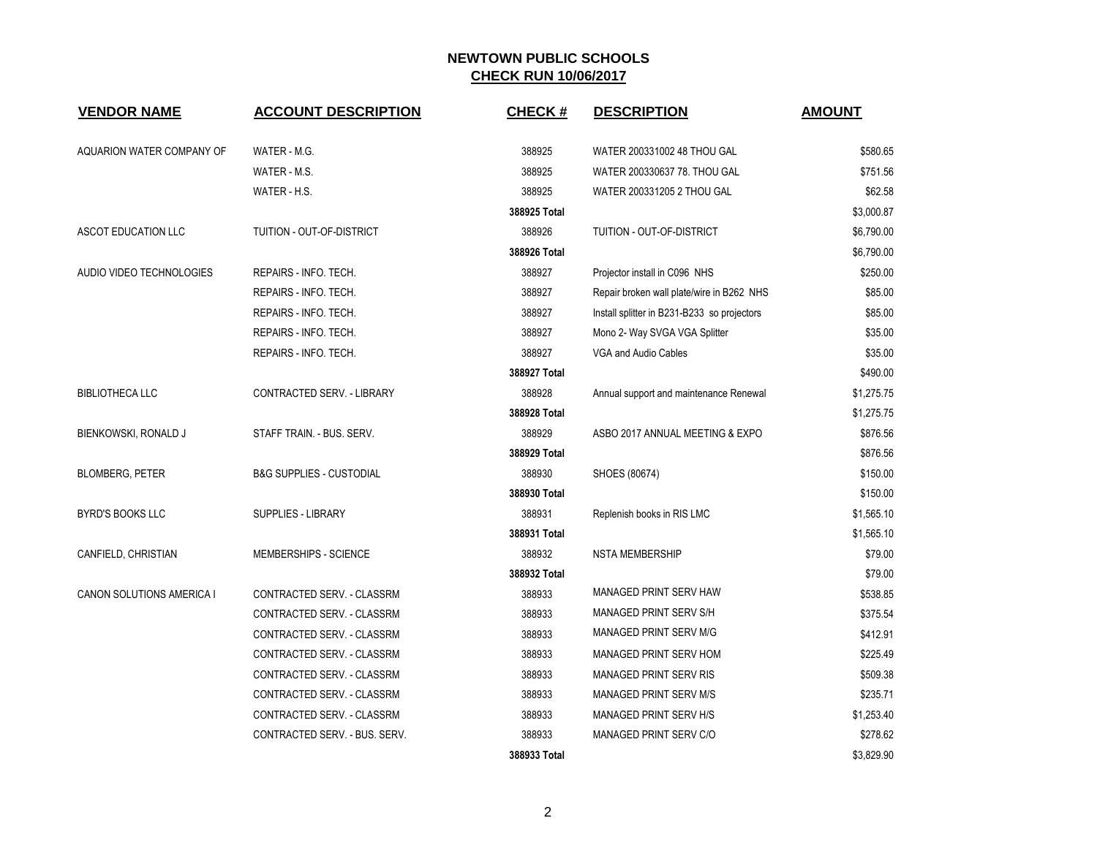| <b>VENDOR NAME</b>        | <b>ACCOUNT DESCRIPTION</b>          | <b>CHECK#</b> | <b>DESCRIPTION</b>                          | <b>AMOUNT</b> |
|---------------------------|-------------------------------------|---------------|---------------------------------------------|---------------|
| AQUARION WATER COMPANY OF | WATER - M.G.                        | 388925        | WATER 200331002 48 THOU GAL                 | \$580.65      |
|                           | WATER - M.S.                        | 388925        | WATER 200330637 78. THOU GAL                | \$751.56      |
|                           | WATER - H.S.                        | 388925        | WATER 200331205 2 THOU GAL                  | \$62.58       |
|                           |                                     | 388925 Total  |                                             | \$3,000.87    |
| ASCOT EDUCATION LLC       | TUITION - OUT-OF-DISTRICT           | 388926        | TUITION - OUT-OF-DISTRICT                   | \$6,790.00    |
|                           |                                     | 388926 Total  |                                             | \$6,790.00    |
| AUDIO VIDEO TECHNOLOGIES  | REPAIRS - INFO. TECH.               | 388927        | Projector install in C096 NHS               | \$250.00      |
|                           | REPAIRS - INFO. TECH.               | 388927        | Repair broken wall plate/wire in B262 NHS   | \$85.00       |
|                           | REPAIRS - INFO. TECH.               | 388927        | Install splitter in B231-B233 so projectors | \$85.00       |
|                           | REPAIRS - INFO. TECH.               | 388927        | Mono 2- Way SVGA VGA Splitter               | \$35.00       |
|                           | REPAIRS - INFO. TECH.               | 388927        | VGA and Audio Cables                        | \$35.00       |
|                           |                                     | 388927 Total  |                                             | \$490.00      |
| <b>BIBLIOTHECA LLC</b>    | CONTRACTED SERV. - LIBRARY          | 388928        | Annual support and maintenance Renewal      | \$1,275.75    |
|                           |                                     | 388928 Total  |                                             | \$1,275.75    |
| BIENKOWSKI, RONALD J      | STAFF TRAIN. - BUS. SERV.           | 388929        | ASBO 2017 ANNUAL MEETING & EXPO             | \$876.56      |
|                           |                                     | 388929 Total  |                                             | \$876.56      |
| <b>BLOMBERG, PETER</b>    | <b>B&amp;G SUPPLIES - CUSTODIAL</b> | 388930        | SHOES (80674)                               | \$150.00      |
|                           |                                     | 388930 Total  |                                             | \$150.00      |
| <b>BYRD'S BOOKS LLC</b>   | SUPPLIES - LIBRARY                  | 388931        | Replenish books in RIS LMC                  | \$1,565.10    |
|                           |                                     | 388931 Total  |                                             | \$1,565.10    |
| CANFIELD, CHRISTIAN       | MEMBERSHIPS - SCIENCE               | 388932        | <b>NSTA MEMBERSHIP</b>                      | \$79.00       |
|                           |                                     | 388932 Total  |                                             | \$79.00       |
| CANON SOLUTIONS AMERICA I | CONTRACTED SERV. - CLASSRM          | 388933        | MANAGED PRINT SERV HAW                      | \$538.85      |
|                           | CONTRACTED SERV. - CLASSRM          | 388933        | MANAGED PRINT SERV S/H                      | \$375.54      |
|                           | CONTRACTED SERV. - CLASSRM          | 388933        | MANAGED PRINT SERV M/G                      | \$412.91      |
|                           | CONTRACTED SERV. - CLASSRM          | 388933        | MANAGED PRINT SERV HOM                      | \$225.49      |
|                           | CONTRACTED SERV. - CLASSRM          | 388933        | <b>MANAGED PRINT SERV RIS</b>               | \$509.38      |
|                           | CONTRACTED SERV. - CLASSRM          | 388933        | <b>MANAGED PRINT SERV M/S</b>               | \$235.71      |
|                           | CONTRACTED SERV. - CLASSRM          | 388933        | MANAGED PRINT SERV H/S                      | \$1,253.40    |
|                           | CONTRACTED SERV. - BUS. SERV.       | 388933        | MANAGED PRINT SERV C/O                      | \$278.62      |
|                           |                                     | 388933 Total  |                                             | \$3,829.90    |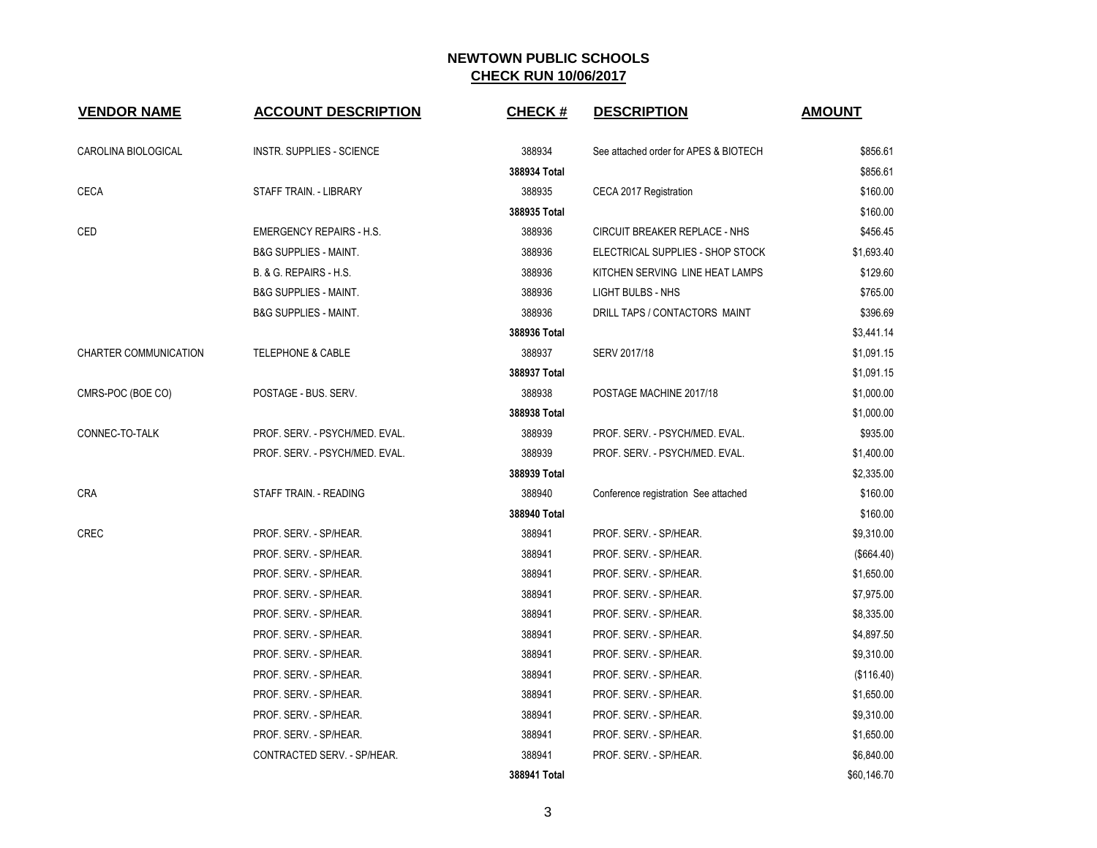| <b>VENDOR NAME</b>    | <b>ACCOUNT DESCRIPTION</b>       | <b>CHECK#</b> | <b>DESCRIPTION</b>                    | <b>AMOUNT</b> |
|-----------------------|----------------------------------|---------------|---------------------------------------|---------------|
| CAROLINA BIOLOGICAL   | INSTR. SUPPLIES - SCIENCE        | 388934        | See attached order for APES & BIOTECH | \$856.61      |
|                       |                                  | 388934 Total  |                                       | \$856.61      |
| <b>CECA</b>           | STAFF TRAIN. - LIBRARY           | 388935        | CECA 2017 Registration                | \$160.00      |
|                       |                                  | 388935 Total  |                                       | \$160.00      |
| CED                   | <b>EMERGENCY REPAIRS - H.S.</b>  | 388936        | CIRCUIT BREAKER REPLACE - NHS         | \$456.45      |
|                       | <b>B&amp;G SUPPLIES - MAINT.</b> | 388936        | ELECTRICAL SUPPLIES - SHOP STOCK      | \$1,693.40    |
|                       | B. & G. REPAIRS - H.S.           | 388936        | KITCHEN SERVING LINE HEAT LAMPS       | \$129.60      |
|                       | <b>B&amp;G SUPPLIES - MAINT.</b> | 388936        | <b>LIGHT BULBS - NHS</b>              | \$765.00      |
|                       | <b>B&amp;G SUPPLIES - MAINT.</b> | 388936        | DRILL TAPS / CONTACTORS MAINT         | \$396.69      |
|                       |                                  | 388936 Total  |                                       | \$3,441.14    |
| CHARTER COMMUNICATION | <b>TELEPHONE &amp; CABLE</b>     | 388937        | SERV 2017/18                          | \$1,091.15    |
|                       |                                  | 388937 Total  |                                       | \$1,091.15    |
| CMRS-POC (BOE CO)     | POSTAGE - BUS. SERV.             | 388938        | POSTAGE MACHINE 2017/18               | \$1,000.00    |
|                       |                                  | 388938 Total  |                                       | \$1,000.00    |
| CONNEC-TO-TALK        | PROF. SERV. - PSYCH/MED. EVAL.   | 388939        | PROF. SERV. - PSYCH/MED. EVAL.        | \$935.00      |
|                       | PROF. SERV. - PSYCH/MED. EVAL.   | 388939        | PROF. SERV. - PSYCH/MED. EVAL.        | \$1,400.00    |
|                       |                                  | 388939 Total  |                                       | \$2,335.00    |
| <b>CRA</b>            | STAFF TRAIN. - READING           | 388940        | Conference registration See attached  | \$160.00      |
|                       |                                  | 388940 Total  |                                       | \$160.00      |
| CREC                  | PROF. SERV. - SP/HEAR.           | 388941        | PROF. SERV. - SP/HEAR.                | \$9,310.00    |
|                       | PROF. SERV. - SP/HEAR.           | 388941        | PROF. SERV. - SP/HEAR.                | (\$664.40)    |
|                       | PROF. SERV. - SP/HEAR.           | 388941        | PROF. SERV. - SP/HEAR.                | \$1,650.00    |
|                       | PROF. SERV. - SP/HEAR.           | 388941        | PROF. SERV. - SP/HEAR.                | \$7,975.00    |
|                       | PROF. SERV. - SP/HEAR.           | 388941        | PROF. SERV. - SP/HEAR.                | \$8,335.00    |
|                       | PROF. SERV. - SP/HEAR.           | 388941        | PROF. SERV. - SP/HEAR.                | \$4,897.50    |
|                       | PROF. SERV. - SP/HEAR.           | 388941        | PROF. SERV. - SP/HEAR.                | \$9,310.00    |
|                       | PROF. SERV. - SP/HEAR.           | 388941        | PROF. SERV. - SP/HEAR.                | (\$116.40)    |
|                       | PROF. SERV. - SP/HEAR.           | 388941        | PROF. SERV. - SP/HEAR.                | \$1,650.00    |
|                       | PROF. SERV. - SP/HEAR.           | 388941        | PROF. SERV. - SP/HEAR.                | \$9,310.00    |
|                       | PROF. SERV. - SP/HEAR.           | 388941        | PROF. SERV. - SP/HEAR.                | \$1,650.00    |
|                       | CONTRACTED SERV. - SP/HEAR.      | 388941        | PROF. SERV. - SP/HEAR.                | \$6,840.00    |
|                       |                                  | 388941 Total  |                                       | \$60,146.70   |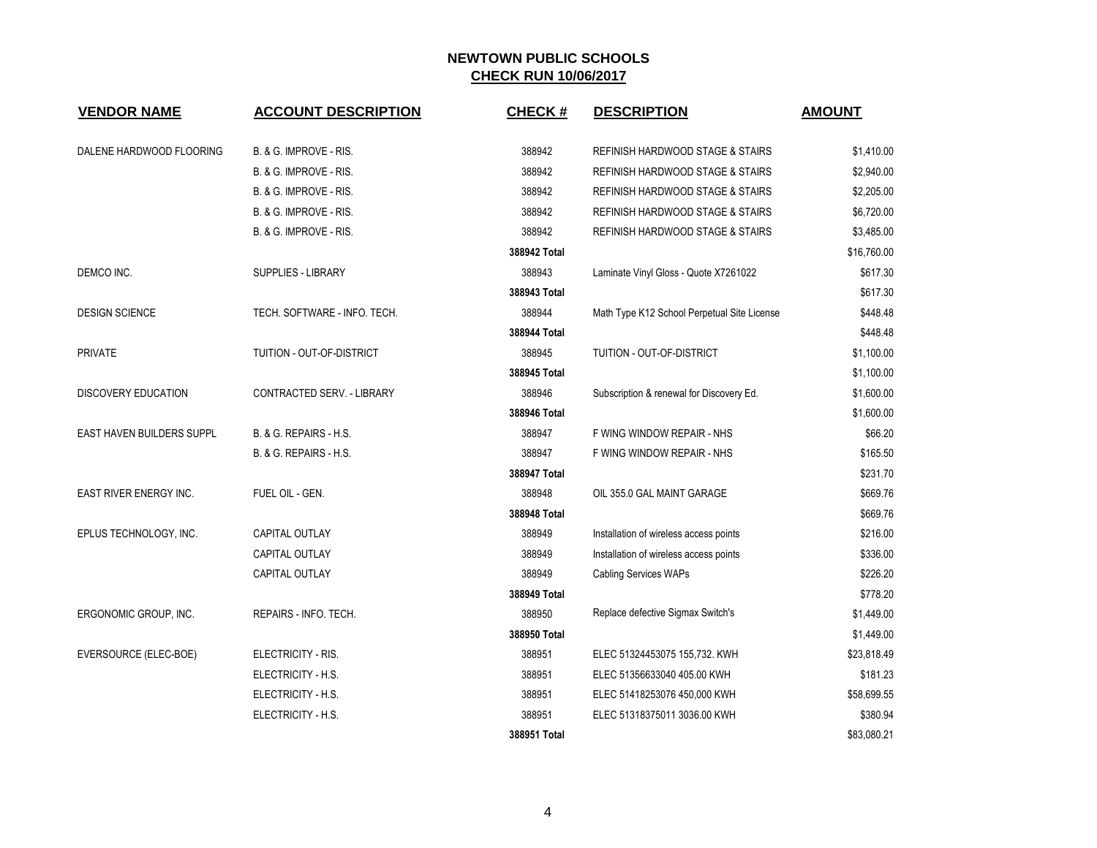| <b>VENDOR NAME</b>               | <b>ACCOUNT DESCRIPTION</b>   | <b>CHECK#</b> | <b>DESCRIPTION</b>                          | <b>AMOUNT</b> |
|----------------------------------|------------------------------|---------------|---------------------------------------------|---------------|
|                                  |                              |               |                                             |               |
| DALENE HARDWOOD FLOORING         | B. & G. IMPROVE - RIS.       | 388942        | REFINISH HARDWOOD STAGE & STAIRS            | \$1,410.00    |
|                                  | B. & G. IMPROVE - RIS.       | 388942        | REFINISH HARDWOOD STAGE & STAIRS            | \$2,940.00    |
|                                  | B. & G. IMPROVE - RIS.       | 388942        | <b>REFINISH HARDWOOD STAGE &amp; STAIRS</b> | \$2,205.00    |
|                                  | B. & G. IMPROVE - RIS.       | 388942        | REFINISH HARDWOOD STAGE & STAIRS            | \$6,720.00    |
|                                  | B. & G. IMPROVE - RIS.       | 388942        | REFINISH HARDWOOD STAGE & STAIRS            | \$3,485.00    |
|                                  |                              | 388942 Total  |                                             | \$16,760.00   |
| DEMCO INC.                       | <b>SUPPLIES - LIBRARY</b>    | 388943        | Laminate Vinyl Gloss - Quote X7261022       | \$617.30      |
|                                  |                              | 388943 Total  |                                             | \$617.30      |
| <b>DESIGN SCIENCE</b>            | TECH. SOFTWARE - INFO. TECH. | 388944        | Math Type K12 School Perpetual Site License | \$448.48      |
|                                  |                              | 388944 Total  |                                             | \$448.48      |
| <b>PRIVATE</b>                   | TUITION - OUT-OF-DISTRICT    | 388945        | TUITION - OUT-OF-DISTRICT                   | \$1,100.00    |
|                                  |                              | 388945 Total  |                                             | \$1,100.00    |
| <b>DISCOVERY EDUCATION</b>       | CONTRACTED SERV. - LIBRARY   | 388946        | Subscription & renewal for Discovery Ed.    | \$1,600.00    |
|                                  |                              | 388946 Total  |                                             | \$1,600.00    |
| <b>EAST HAVEN BUILDERS SUPPL</b> | B. & G. REPAIRS - H.S.       | 388947        | F WING WINDOW REPAIR - NHS                  | \$66.20       |
|                                  | B. & G. REPAIRS - H.S.       | 388947        | F WING WINDOW REPAIR - NHS                  | \$165.50      |
|                                  |                              | 388947 Total  |                                             | \$231.70      |
| <b>EAST RIVER ENERGY INC.</b>    | FUEL OIL - GEN.              | 388948        | OIL 355.0 GAL MAINT GARAGE                  | \$669.76      |
|                                  |                              | 388948 Total  |                                             | \$669.76      |
| EPLUS TECHNOLOGY, INC.           | CAPITAL OUTLAY               | 388949        | Installation of wireless access points      | \$216.00      |
|                                  | <b>CAPITAL OUTLAY</b>        | 388949        | Installation of wireless access points      | \$336.00      |
|                                  | <b>CAPITAL OUTLAY</b>        | 388949        | <b>Cabling Services WAPs</b>                | \$226.20      |
|                                  |                              | 388949 Total  |                                             | \$778.20      |
| ERGONOMIC GROUP, INC.            | REPAIRS - INFO. TECH.        | 388950        | Replace defective Sigmax Switch's           | \$1,449.00    |
|                                  |                              | 388950 Total  |                                             | \$1,449.00    |
| EVERSOURCE (ELEC-BOE)            | ELECTRICITY - RIS.           | 388951        | ELEC 51324453075 155,732. KWH               | \$23,818.49   |
|                                  | ELECTRICITY - H.S.           | 388951        | ELEC 51356633040 405.00 KWH                 | \$181.23      |
|                                  | ELECTRICITY - H.S.           | 388951        | ELEC 51418253076 450,000 KWH                | \$58,699.55   |
|                                  | ELECTRICITY - H.S.           | 388951        | ELEC 51318375011 3036.00 KWH                | \$380.94      |
|                                  |                              | 388951 Total  |                                             | \$83,080.21   |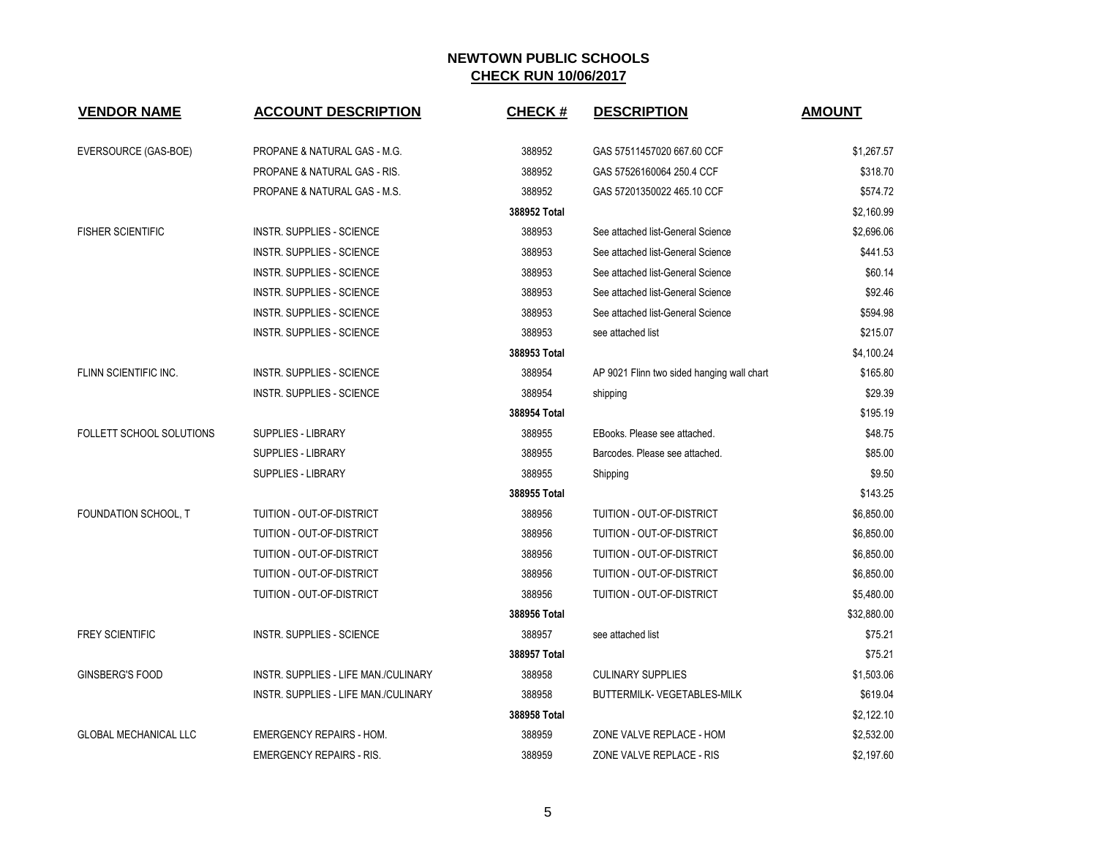| <b>VENDOR NAME</b>              | <b>ACCOUNT DESCRIPTION</b>           | <b>CHECK#</b> | <b>DESCRIPTION</b>                         | <b>AMOUNT</b> |
|---------------------------------|--------------------------------------|---------------|--------------------------------------------|---------------|
| EVERSOURCE (GAS-BOE)            | PROPANE & NATURAL GAS - M.G.         | 388952        | GAS 57511457020 667.60 CCF                 | \$1,267.57    |
|                                 | PROPANE & NATURAL GAS - RIS.         | 388952        | GAS 57526160064 250.4 CCF                  | \$318.70      |
|                                 | PROPANE & NATURAL GAS - M.S.         | 388952        | GAS 57201350022 465.10 CCF                 | \$574.72      |
|                                 |                                      | 388952 Total  |                                            | \$2,160.99    |
| <b>FISHER SCIENTIFIC</b>        | <b>INSTR. SUPPLIES - SCIENCE</b>     | 388953        | See attached list-General Science          | \$2,696.06    |
|                                 | <b>INSTR. SUPPLIES - SCIENCE</b>     | 388953        | See attached list-General Science          | \$441.53      |
|                                 | <b>INSTR. SUPPLIES - SCIENCE</b>     | 388953        | See attached list-General Science          | \$60.14       |
|                                 | <b>INSTR. SUPPLIES - SCIENCE</b>     | 388953        | See attached list-General Science          | \$92.46       |
|                                 | <b>INSTR. SUPPLIES - SCIENCE</b>     | 388953        | See attached list-General Science          | \$594.98      |
|                                 | <b>INSTR. SUPPLIES - SCIENCE</b>     | 388953        | see attached list                          | \$215.07      |
|                                 |                                      | 388953 Total  |                                            | \$4,100.24    |
| FLINN SCIENTIFIC INC.           | <b>INSTR. SUPPLIES - SCIENCE</b>     | 388954        | AP 9021 Flinn two sided hanging wall chart | \$165.80      |
|                                 | <b>INSTR. SUPPLIES - SCIENCE</b>     | 388954        | shipping                                   | \$29.39       |
|                                 |                                      | 388954 Total  |                                            | \$195.19      |
| <b>FOLLETT SCHOOL SOLUTIONS</b> | <b>SUPPLIES - LIBRARY</b>            | 388955        | EBooks. Please see attached.               | \$48.75       |
|                                 | <b>SUPPLIES - LIBRARY</b>            | 388955        | Barcodes. Please see attached.             | \$85.00       |
|                                 | <b>SUPPLIES - LIBRARY</b>            | 388955        | Shipping                                   | \$9.50        |
|                                 |                                      | 388955 Total  |                                            | \$143.25      |
| FOUNDATION SCHOOL, T            | TUITION - OUT-OF-DISTRICT            | 388956        | TUITION - OUT-OF-DISTRICT                  | \$6,850.00    |
|                                 | <b>TUITION - OUT-OF-DISTRICT</b>     | 388956        | TUITION - OUT-OF-DISTRICT                  | \$6,850.00    |
|                                 | TUITION - OUT-OF-DISTRICT            | 388956        | TUITION - OUT-OF-DISTRICT                  | \$6,850.00    |
|                                 | TUITION - OUT-OF-DISTRICT            | 388956        | TUITION - OUT-OF-DISTRICT                  | \$6,850.00    |
|                                 | TUITION - OUT-OF-DISTRICT            | 388956        | TUITION - OUT-OF-DISTRICT                  | \$5,480.00    |
|                                 |                                      | 388956 Total  |                                            | \$32,880.00   |
| <b>FREY SCIENTIFIC</b>          | <b>INSTR. SUPPLIES - SCIENCE</b>     | 388957        | see attached list                          | \$75.21       |
|                                 |                                      | 388957 Total  |                                            | \$75.21       |
| GINSBERG'S FOOD                 | INSTR. SUPPLIES - LIFE MAN./CULINARY | 388958        | <b>CULINARY SUPPLIES</b>                   | \$1,503.06    |
|                                 | INSTR. SUPPLIES - LIFE MAN./CULINARY | 388958        | BUTTERMILK- VEGETABLES-MILK                | \$619.04      |
|                                 |                                      | 388958 Total  |                                            | \$2,122.10    |
| <b>GLOBAL MECHANICAL LLC</b>    | <b>EMERGENCY REPAIRS - HOM.</b>      | 388959        | ZONE VALVE REPLACE - HOM                   | \$2,532.00    |
|                                 | <b>EMERGENCY REPAIRS - RIS.</b>      | 388959        | ZONE VALVE REPLACE - RIS                   | \$2,197.60    |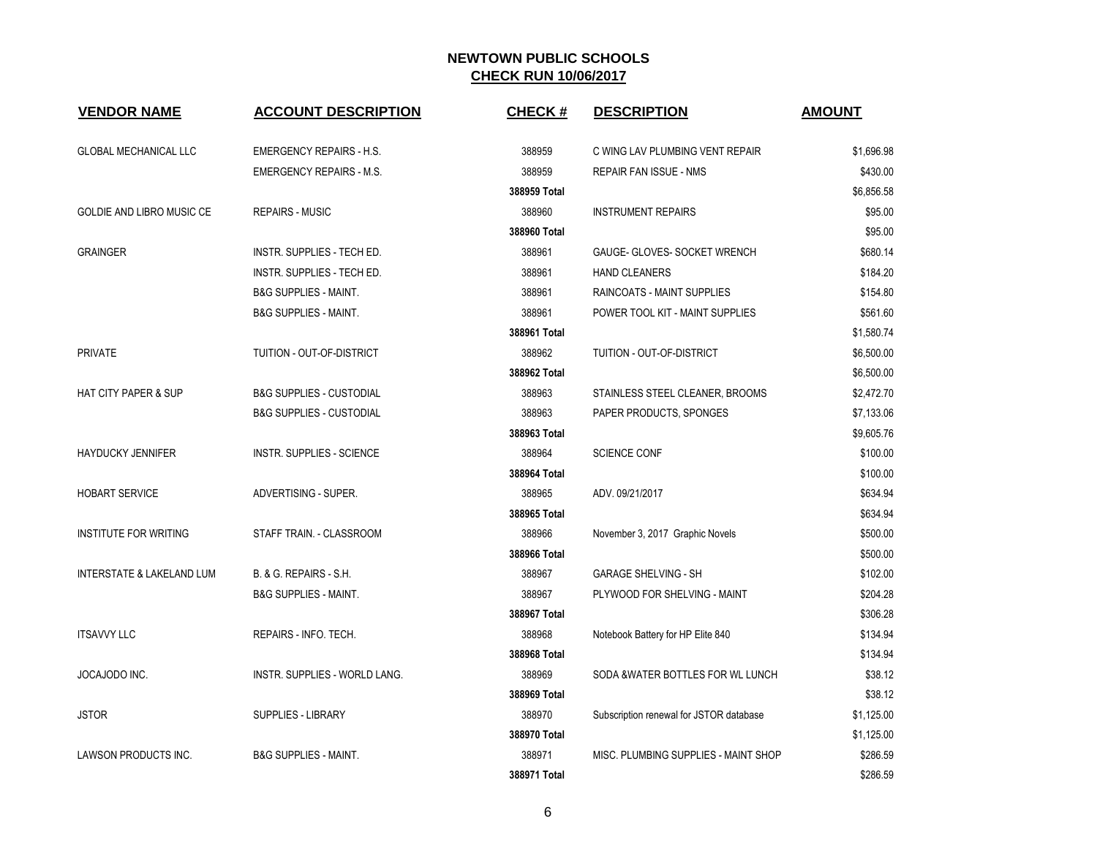| <b>VENDOR NAME</b>                   | <b>ACCOUNT DESCRIPTION</b>          | <b>CHECK#</b> | <b>DESCRIPTION</b>                      | <b>AMOUNT</b> |
|--------------------------------------|-------------------------------------|---------------|-----------------------------------------|---------------|
| <b>GLOBAL MECHANICAL LLC</b>         | <b>EMERGENCY REPAIRS - H.S.</b>     | 388959        | C WING LAV PLUMBING VENT REPAIR         | \$1,696.98    |
|                                      | <b>EMERGENCY REPAIRS - M.S.</b>     | 388959        | <b>REPAIR FAN ISSUE - NMS</b>           | \$430.00      |
|                                      |                                     | 388959 Total  |                                         | \$6,856.58    |
|                                      |                                     |               |                                         |               |
| GOLDIE AND LIBRO MUSIC CE            | <b>REPAIRS - MUSIC</b>              | 388960        | <b>INSTRUMENT REPAIRS</b>               | \$95.00       |
|                                      |                                     | 388960 Total  |                                         | \$95.00       |
| <b>GRAINGER</b>                      | <b>INSTR. SUPPLIES - TECH ED.</b>   | 388961        | GAUGE- GLOVES- SOCKET WRENCH            | \$680.14      |
|                                      | INSTR. SUPPLIES - TECH ED.          | 388961        | <b>HAND CLEANERS</b>                    | \$184.20      |
|                                      | <b>B&amp;G SUPPLIES - MAINT.</b>    | 388961        | <b>RAINCOATS - MAINT SUPPLIES</b>       | \$154.80      |
|                                      | <b>B&amp;G SUPPLIES - MAINT.</b>    | 388961        | POWER TOOL KIT - MAINT SUPPLIES         | \$561.60      |
|                                      |                                     | 388961 Total  |                                         | \$1,580.74    |
| <b>PRIVATE</b>                       | TUITION - OUT-OF-DISTRICT           | 388962        | TUITION - OUT-OF-DISTRICT               | \$6,500.00    |
|                                      |                                     | 388962 Total  |                                         | \$6,500.00    |
| <b>HAT CITY PAPER &amp; SUP</b>      | <b>B&amp;G SUPPLIES - CUSTODIAL</b> | 388963        | STAINLESS STEEL CLEANER, BROOMS         | \$2,472.70    |
|                                      | <b>B&amp;G SUPPLIES - CUSTODIAL</b> | 388963        | PAPER PRODUCTS, SPONGES                 | \$7,133.06    |
|                                      |                                     | 388963 Total  |                                         | \$9,605.76    |
| <b>HAYDUCKY JENNIFER</b>             | INSTR. SUPPLIES - SCIENCE           | 388964        | <b>SCIENCE CONF</b>                     | \$100.00      |
|                                      |                                     | 388964 Total  |                                         | \$100.00      |
| <b>HOBART SERVICE</b>                | ADVERTISING - SUPER.                | 388965        | ADV. 09/21/2017                         | \$634.94      |
|                                      |                                     | 388965 Total  |                                         | \$634.94      |
| <b>INSTITUTE FOR WRITING</b>         | STAFF TRAIN. - CLASSROOM            | 388966        | November 3, 2017 Graphic Novels         | \$500.00      |
|                                      |                                     | 388966 Total  |                                         | \$500.00      |
| <b>INTERSTATE &amp; LAKELAND LUM</b> | B. & G. REPAIRS - S.H.              | 388967        | <b>GARAGE SHELVING - SH</b>             | \$102.00      |
|                                      | <b>B&amp;G SUPPLIES - MAINT.</b>    | 388967        | PLYWOOD FOR SHELVING - MAINT            | \$204.28      |
|                                      |                                     | 388967 Total  |                                         | \$306.28      |
| <b>ITSAVVY LLC</b>                   | REPAIRS - INFO. TECH.               | 388968        | Notebook Battery for HP Elite 840       | \$134.94      |
|                                      |                                     | 388968 Total  |                                         | \$134.94      |
| JOCAJODO INC.                        | INSTR. SUPPLIES - WORLD LANG.       | 388969        | SODA & WATER BOTTLES FOR WL LUNCH       | \$38.12       |
|                                      |                                     | 388969 Total  |                                         | \$38.12       |
| <b>JSTOR</b>                         | SUPPLIES - LIBRARY                  | 388970        | Subscription renewal for JSTOR database | \$1,125.00    |
|                                      |                                     | 388970 Total  |                                         | \$1,125.00    |
| <b>LAWSON PRODUCTS INC.</b>          | <b>B&amp;G SUPPLIES - MAINT.</b>    | 388971        | MISC. PLUMBING SUPPLIES - MAINT SHOP    | \$286.59      |
|                                      |                                     | 388971 Total  |                                         | \$286.59      |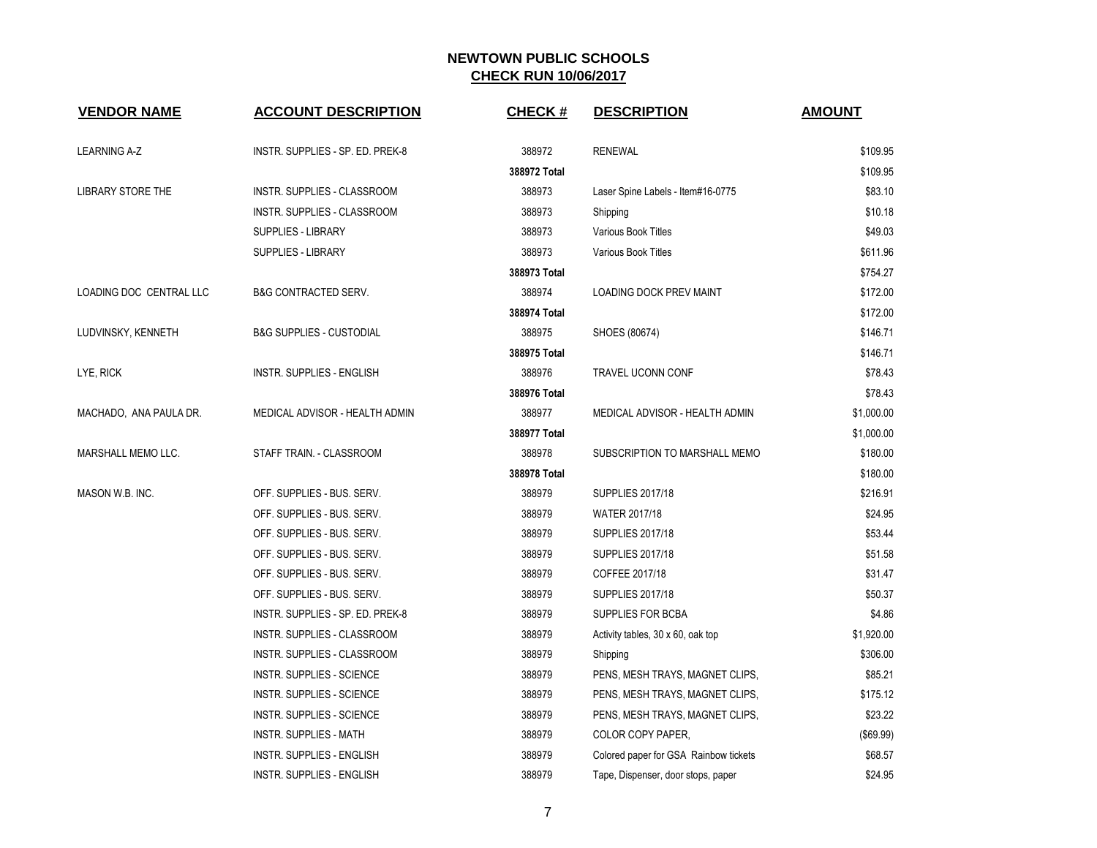| <b>VENDOR NAME</b>      | <b>ACCOUNT DESCRIPTION</b>          | <b>CHECK#</b> | <b>DESCRIPTION</b>                    | <b>AMOUNT</b> |
|-------------------------|-------------------------------------|---------------|---------------------------------------|---------------|
| <b>LEARNING A-Z</b>     | INSTR. SUPPLIES - SP. ED. PREK-8    | 388972        | <b>RENEWAL</b>                        | \$109.95      |
|                         |                                     | 388972 Total  |                                       | \$109.95      |
| LIBRARY STORE THE       | INSTR. SUPPLIES - CLASSROOM         | 388973        | Laser Spine Labels - Item#16-0775     | \$83.10       |
|                         | INSTR. SUPPLIES - CLASSROOM         | 388973        | Shipping                              | \$10.18       |
|                         | SUPPLIES - LIBRARY                  | 388973        | Various Book Titles                   | \$49.03       |
|                         | <b>SUPPLIES - LIBRARY</b>           | 388973        | Various Book Titles                   | \$611.96      |
|                         |                                     | 388973 Total  |                                       | \$754.27      |
| LOADING DOC CENTRAL LLC | <b>B&amp;G CONTRACTED SERV.</b>     | 388974        | <b>LOADING DOCK PREV MAINT</b>        | \$172.00      |
|                         |                                     | 388974 Total  |                                       | \$172.00      |
| LUDVINSKY, KENNETH      | <b>B&amp;G SUPPLIES - CUSTODIAL</b> | 388975        | SHOES (80674)                         | \$146.71      |
|                         |                                     | 388975 Total  |                                       | \$146.71      |
| LYE, RICK               | INSTR. SUPPLIES - ENGLISH           | 388976        | <b>TRAVEL UCONN CONF</b>              | \$78.43       |
|                         |                                     | 388976 Total  |                                       | \$78.43       |
| MACHADO, ANA PAULA DR.  | MEDICAL ADVISOR - HEALTH ADMIN      | 388977        | MEDICAL ADVISOR - HEALTH ADMIN        | \$1,000.00    |
|                         |                                     | 388977 Total  |                                       | \$1,000.00    |
| MARSHALL MEMO LLC.      | STAFF TRAIN. - CLASSROOM            | 388978        | SUBSCRIPTION TO MARSHALL MEMO         | \$180.00      |
|                         |                                     | 388978 Total  |                                       | \$180.00      |
| MASON W.B. INC.         | OFF. SUPPLIES - BUS. SERV.          | 388979        | <b>SUPPLIES 2017/18</b>               | \$216.91      |
|                         | OFF. SUPPLIES - BUS. SERV.          | 388979        | <b>WATER 2017/18</b>                  | \$24.95       |
|                         | OFF. SUPPLIES - BUS. SERV.          | 388979        | <b>SUPPLIES 2017/18</b>               | \$53.44       |
|                         | OFF. SUPPLIES - BUS. SERV.          | 388979        | <b>SUPPLIES 2017/18</b>               | \$51.58       |
|                         | OFF. SUPPLIES - BUS. SERV.          | 388979        | COFFEE 2017/18                        | \$31.47       |
|                         | OFF. SUPPLIES - BUS. SERV.          | 388979        | <b>SUPPLIES 2017/18</b>               | \$50.37       |
|                         | INSTR. SUPPLIES - SP. ED. PREK-8    | 388979        | SUPPLIES FOR BCBA                     | \$4.86        |
|                         | INSTR. SUPPLIES - CLASSROOM         | 388979        | Activity tables, 30 x 60, oak top     | \$1,920.00    |
|                         | INSTR. SUPPLIES - CLASSROOM         | 388979        | Shipping                              | \$306.00      |
|                         | INSTR. SUPPLIES - SCIENCE           | 388979        | PENS, MESH TRAYS, MAGNET CLIPS,       | \$85.21       |
|                         | INSTR. SUPPLIES - SCIENCE           | 388979        | PENS, MESH TRAYS, MAGNET CLIPS,       | \$175.12      |
|                         | INSTR. SUPPLIES - SCIENCE           | 388979        | PENS, MESH TRAYS, MAGNET CLIPS,       | \$23.22       |
|                         | <b>INSTR. SUPPLIES - MATH</b>       | 388979        | COLOR COPY PAPER,                     | (\$69.99)     |
|                         | <b>INSTR. SUPPLIES - ENGLISH</b>    | 388979        | Colored paper for GSA Rainbow tickets | \$68.57       |
|                         | <b>INSTR. SUPPLIES - ENGLISH</b>    | 388979        | Tape, Dispenser, door stops, paper    | \$24.95       |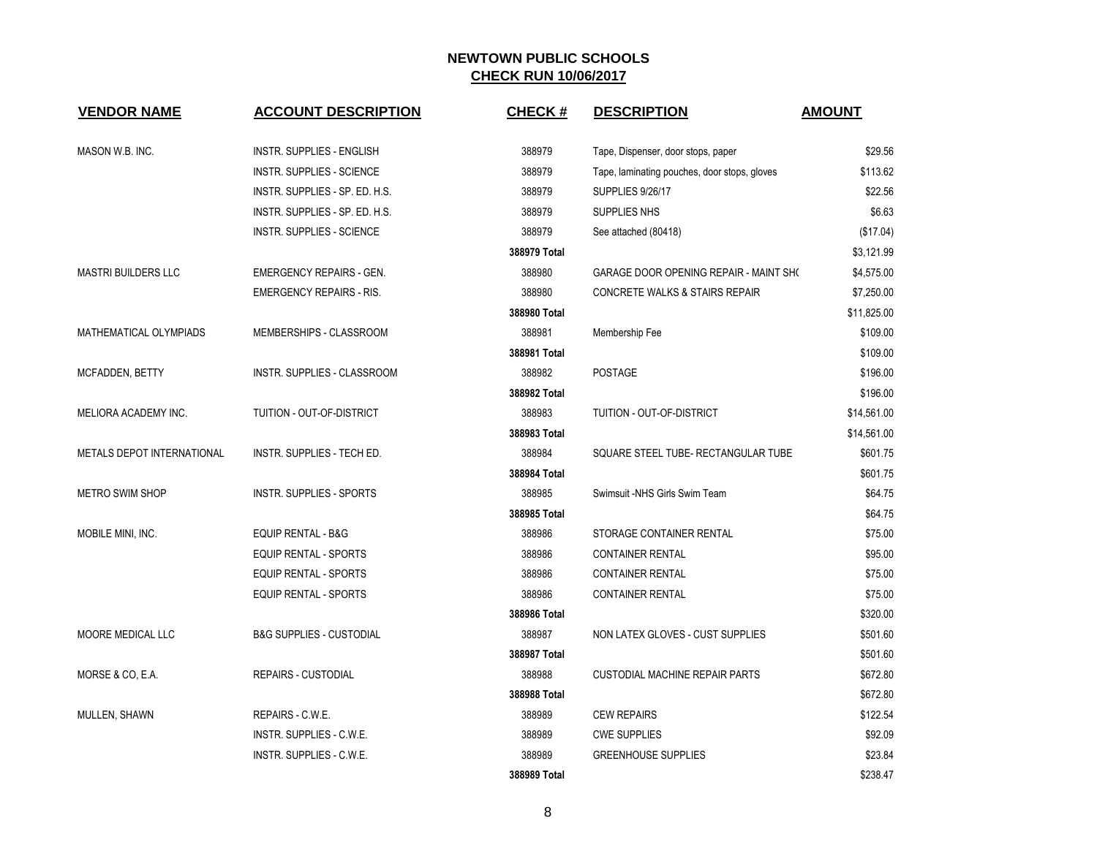| <b>VENDOR NAME</b>         | <b>ACCOUNT DESCRIPTION</b>          | <b>CHECK#</b> | <b>DESCRIPTION</b>                            | <b>AMOUNT</b> |
|----------------------------|-------------------------------------|---------------|-----------------------------------------------|---------------|
| MASON W.B. INC.            | <b>INSTR. SUPPLIES - ENGLISH</b>    | 388979        | Tape, Dispenser, door stops, paper            | \$29.56       |
|                            | INSTR. SUPPLIES - SCIENCE           | 388979        | Tape, laminating pouches, door stops, gloves  | \$113.62      |
|                            | INSTR. SUPPLIES - SP. ED. H.S.      | 388979        | <b>SUPPLIES 9/26/17</b>                       | \$22.56       |
|                            | INSTR. SUPPLIES - SP. ED. H.S.      | 388979        | SUPPLIES NHS                                  | \$6.63        |
|                            | <b>INSTR. SUPPLIES - SCIENCE</b>    | 388979        | See attached (80418)                          | (\$17.04)     |
|                            |                                     | 388979 Total  |                                               | \$3,121.99    |
| <b>MASTRI BUILDERS LLC</b> | <b>EMERGENCY REPAIRS - GEN.</b>     | 388980        | <b>GARAGE DOOR OPENING REPAIR - MAINT SHO</b> | \$4,575.00    |
|                            | <b>EMERGENCY REPAIRS - RIS.</b>     | 388980        | CONCRETE WALKS & STAIRS REPAIR                | \$7,250.00    |
|                            |                                     | 388980 Total  |                                               | \$11,825.00   |
| MATHEMATICAL OLYMPIADS     | MEMBERSHIPS - CLASSROOM             | 388981        | Membership Fee                                | \$109.00      |
|                            |                                     | 388981 Total  |                                               | \$109.00      |
| MCFADDEN, BETTY            | INSTR. SUPPLIES - CLASSROOM         | 388982        | <b>POSTAGE</b>                                | \$196.00      |
|                            |                                     | 388982 Total  |                                               | \$196.00      |
| MELIORA ACADEMY INC.       | TUITION - OUT-OF-DISTRICT           | 388983        | TUITION - OUT-OF-DISTRICT                     | \$14,561.00   |
|                            |                                     | 388983 Total  |                                               | \$14,561.00   |
| METALS DEPOT INTERNATIONAL | INSTR. SUPPLIES - TECH ED.          | 388984        | SQUARE STEEL TUBE- RECTANGULAR TUBE           | \$601.75      |
|                            |                                     | 388984 Total  |                                               | \$601.75      |
| <b>METRO SWIM SHOP</b>     | <b>INSTR. SUPPLIES - SPORTS</b>     | 388985        | Swimsuit -NHS Girls Swim Team                 | \$64.75       |
|                            |                                     | 388985 Total  |                                               | \$64.75       |
| MOBILE MINI, INC.          | EQUIP RENTAL - B&G                  | 388986        | STORAGE CONTAINER RENTAL                      | \$75.00       |
|                            | EQUIP RENTAL - SPORTS               | 388986        | <b>CONTAINER RENTAL</b>                       | \$95.00       |
|                            | <b>EQUIP RENTAL - SPORTS</b>        | 388986        | <b>CONTAINER RENTAL</b>                       | \$75.00       |
|                            | <b>EQUIP RENTAL - SPORTS</b>        | 388986        | <b>CONTAINER RENTAL</b>                       | \$75.00       |
|                            |                                     | 388986 Total  |                                               | \$320.00      |
| MOORE MEDICAL LLC          | <b>B&amp;G SUPPLIES - CUSTODIAL</b> | 388987        | NON LATEX GLOVES - CUST SUPPLIES              | \$501.60      |
|                            |                                     | 388987 Total  |                                               | \$501.60      |
| MORSE & CO, E.A.           | <b>REPAIRS - CUSTODIAL</b>          | 388988        | <b>CUSTODIAL MACHINE REPAIR PARTS</b>         | \$672.80      |
|                            |                                     | 388988 Total  |                                               | \$672.80      |
| MULLEN, SHAWN              | REPAIRS - C.W.E.                    | 388989        | <b>CEW REPAIRS</b>                            | \$122.54      |
|                            | INSTR. SUPPLIES - C.W.E.            | 388989        | <b>CWE SUPPLIES</b>                           | \$92.09       |
|                            | INSTR. SUPPLIES - C.W.E.            | 388989        | <b>GREENHOUSE SUPPLIES</b>                    | \$23.84       |
|                            |                                     | 388989 Total  |                                               | \$238.47      |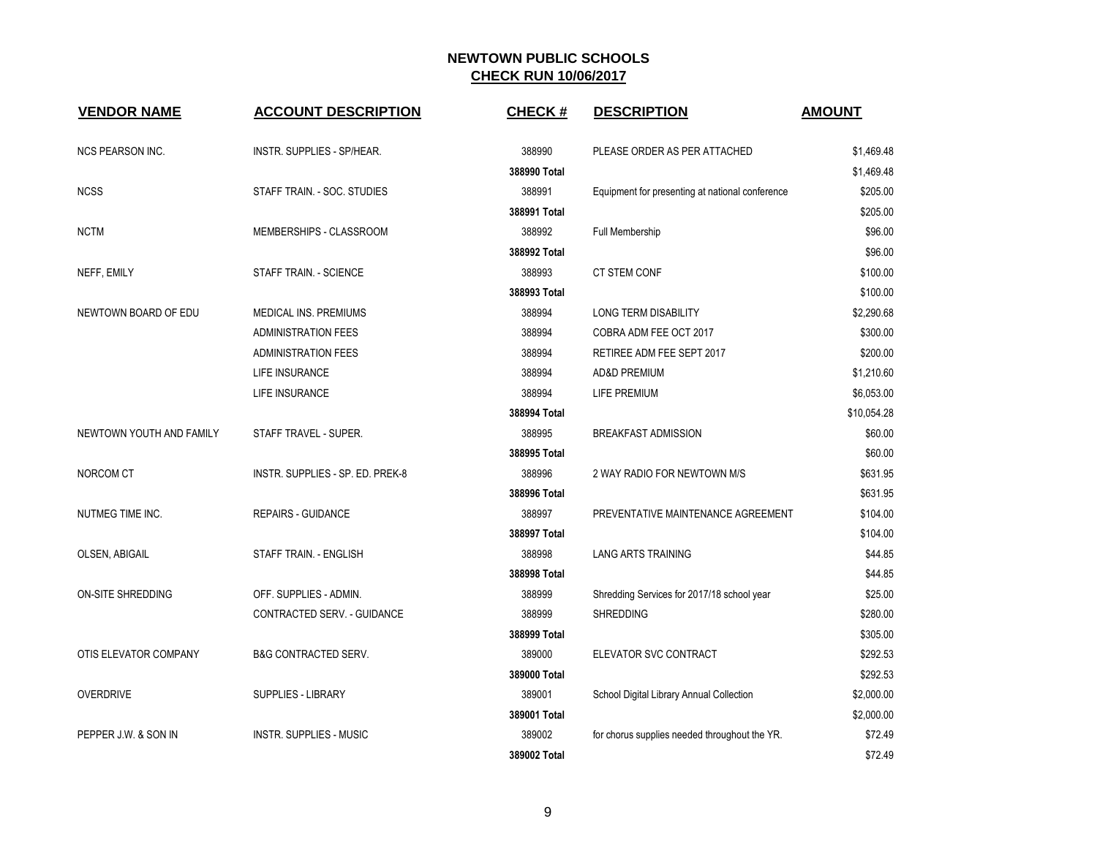| <b>VENDOR NAME</b>       | <b>ACCOUNT DESCRIPTION</b>       | <b>CHECK#</b> | <b>DESCRIPTION</b>                              | <b>AMOUNT</b> |
|--------------------------|----------------------------------|---------------|-------------------------------------------------|---------------|
| <b>NCS PEARSON INC.</b>  | INSTR. SUPPLIES - SP/HEAR.       | 388990        | PLEASE ORDER AS PER ATTACHED                    | \$1,469.48    |
|                          |                                  | 388990 Total  |                                                 | \$1,469.48    |
| <b>NCSS</b>              | STAFF TRAIN. - SOC. STUDIES      | 388991        | Equipment for presenting at national conference | \$205.00      |
|                          |                                  | 388991 Total  |                                                 | \$205.00      |
| <b>NCTM</b>              | MEMBERSHIPS - CLASSROOM          | 388992        | Full Membership                                 | \$96.00       |
|                          |                                  | 388992 Total  |                                                 | \$96.00       |
| NEFF, EMILY              | STAFF TRAIN. - SCIENCE           | 388993        | <b>CT STEM CONF</b>                             | \$100.00      |
|                          |                                  | 388993 Total  |                                                 | \$100.00      |
| NEWTOWN BOARD OF EDU     | MEDICAL INS. PREMIUMS            | 388994        | <b>LONG TERM DISABILITY</b>                     | \$2,290.68    |
|                          | <b>ADMINISTRATION FEES</b>       | 388994        | COBRA ADM FEE OCT 2017                          | \$300.00      |
|                          | <b>ADMINISTRATION FEES</b>       | 388994        | RETIREE ADM FEE SEPT 2017                       | \$200.00      |
|                          | LIFE INSURANCE                   | 388994        | AD&D PREMIUM                                    | \$1,210.60    |
|                          | LIFE INSURANCE                   | 388994        | LIFE PREMIUM                                    | \$6,053.00    |
|                          |                                  | 388994 Total  |                                                 | \$10,054.28   |
| NEWTOWN YOUTH AND FAMILY | STAFF TRAVEL - SUPER.            | 388995        | <b>BREAKFAST ADMISSION</b>                      | \$60.00       |
|                          |                                  | 388995 Total  |                                                 | \$60.00       |
| NORCOM CT                | INSTR. SUPPLIES - SP. ED. PREK-8 | 388996        | 2 WAY RADIO FOR NEWTOWN M/S                     | \$631.95      |
|                          |                                  | 388996 Total  |                                                 | \$631.95      |
| NUTMEG TIME INC.         | <b>REPAIRS - GUIDANCE</b>        | 388997        | PREVENTATIVE MAINTENANCE AGREEMENT              | \$104.00      |
|                          |                                  | 388997 Total  |                                                 | \$104.00      |
| OLSEN, ABIGAIL           | STAFF TRAIN. - ENGLISH           | 388998        | <b>LANG ARTS TRAINING</b>                       | \$44.85       |
|                          |                                  | 388998 Total  |                                                 | \$44.85       |
| ON-SITE SHREDDING        | OFF. SUPPLIES - ADMIN.           | 388999        | Shredding Services for 2017/18 school year      | \$25.00       |
|                          | CONTRACTED SERV. - GUIDANCE      | 388999        | <b>SHREDDING</b>                                | \$280.00      |
|                          |                                  | 388999 Total  |                                                 | \$305.00      |
| OTIS ELEVATOR COMPANY    | <b>B&amp;G CONTRACTED SERV.</b>  | 389000        | ELEVATOR SVC CONTRACT                           | \$292.53      |
|                          |                                  | 389000 Total  |                                                 | \$292.53      |
| <b>OVERDRIVE</b>         | <b>SUPPLIES - LIBRARY</b>        | 389001        | School Digital Library Annual Collection        | \$2,000.00    |
|                          |                                  | 389001 Total  |                                                 | \$2,000.00    |
| PEPPER J.W. & SON IN     | <b>INSTR. SUPPLIES - MUSIC</b>   | 389002        | for chorus supplies needed throughout the YR.   | \$72.49       |
|                          |                                  | 389002 Total  |                                                 | \$72.49       |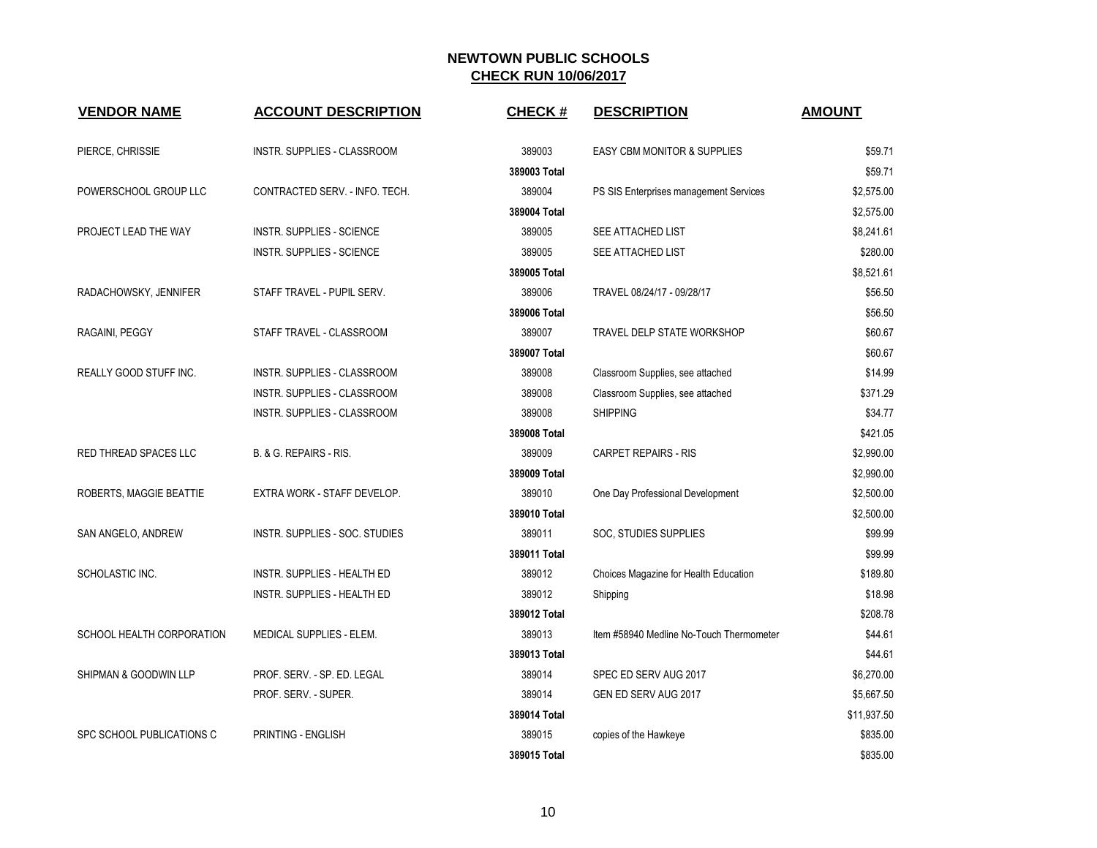| <b>VENDOR NAME</b>           | <b>ACCOUNT DESCRIPTION</b>         | <b>CHECK#</b> | <b>DESCRIPTION</b>                       | <b>AMOUNT</b> |
|------------------------------|------------------------------------|---------------|------------------------------------------|---------------|
| PIERCE, CHRISSIE             | INSTR. SUPPLIES - CLASSROOM        | 389003        | <b>EASY CBM MONITOR &amp; SUPPLIES</b>   | \$59.71       |
|                              |                                    | 389003 Total  |                                          | \$59.71       |
| POWERSCHOOL GROUP LLC        | CONTRACTED SERV. - INFO. TECH.     | 389004        | PS SIS Enterprises management Services   | \$2,575.00    |
|                              |                                    | 389004 Total  |                                          | \$2,575.00    |
| PROJECT LEAD THE WAY         | <b>INSTR. SUPPLIES - SCIENCE</b>   | 389005        | SEE ATTACHED LIST                        | \$8,241.61    |
|                              | <b>INSTR. SUPPLIES - SCIENCE</b>   | 389005        | SEE ATTACHED LIST                        | \$280.00      |
|                              |                                    | 389005 Total  |                                          | \$8,521.61    |
| RADACHOWSKY, JENNIFER        | STAFF TRAVEL - PUPIL SERV.         | 389006        | TRAVEL 08/24/17 - 09/28/17               | \$56.50       |
|                              |                                    | 389006 Total  |                                          | \$56.50       |
| RAGAINI, PEGGY               | STAFF TRAVEL - CLASSROOM           | 389007        | TRAVEL DELP STATE WORKSHOP               | \$60.67       |
|                              |                                    | 389007 Total  |                                          | \$60.67       |
| REALLY GOOD STUFF INC.       | INSTR. SUPPLIES - CLASSROOM        | 389008        | Classroom Supplies, see attached         | \$14.99       |
|                              | INSTR. SUPPLIES - CLASSROOM        | 389008        | Classroom Supplies, see attached         | \$371.29      |
|                              | INSTR. SUPPLIES - CLASSROOM        | 389008        | <b>SHIPPING</b>                          | \$34.77       |
|                              |                                    | 389008 Total  |                                          | \$421.05      |
| <b>RED THREAD SPACES LLC</b> | B. & G. REPAIRS - RIS.             | 389009        | <b>CARPET REPAIRS - RIS</b>              | \$2,990.00    |
|                              |                                    | 389009 Total  |                                          | \$2,990.00    |
| ROBERTS, MAGGIE BEATTIE      | EXTRA WORK - STAFF DEVELOP.        | 389010        | One Day Professional Development         | \$2,500.00    |
|                              |                                    | 389010 Total  |                                          | \$2,500.00    |
| SAN ANGELO, ANDREW           | INSTR. SUPPLIES - SOC. STUDIES     | 389011        | SOC, STUDIES SUPPLIES                    | \$99.99       |
|                              |                                    | 389011 Total  |                                          | \$99.99       |
| SCHOLASTIC INC.              | <b>INSTR. SUPPLIES - HEALTH ED</b> | 389012        | Choices Magazine for Health Education    | \$189.80      |
|                              | INSTR. SUPPLIES - HEALTH ED        | 389012        | Shipping                                 | \$18.98       |
|                              |                                    | 389012 Total  |                                          | \$208.78      |
| SCHOOL HEALTH CORPORATION    | MEDICAL SUPPLIES - ELEM.           | 389013        | Item #58940 Medline No-Touch Thermometer | \$44.61       |
|                              |                                    | 389013 Total  |                                          | \$44.61       |
| SHIPMAN & GOODWIN LLP        | PROF. SERV. - SP. ED. LEGAL        | 389014        | SPEC ED SERV AUG 2017                    | \$6,270.00    |
|                              | PROF. SERV. - SUPER.               | 389014        | GEN ED SERV AUG 2017                     | \$5,667.50    |
|                              |                                    | 389014 Total  |                                          | \$11,937.50   |
| SPC SCHOOL PUBLICATIONS C    | PRINTING - ENGLISH                 | 389015        | copies of the Hawkeye                    | \$835.00      |
|                              |                                    | 389015 Total  |                                          | \$835.00      |